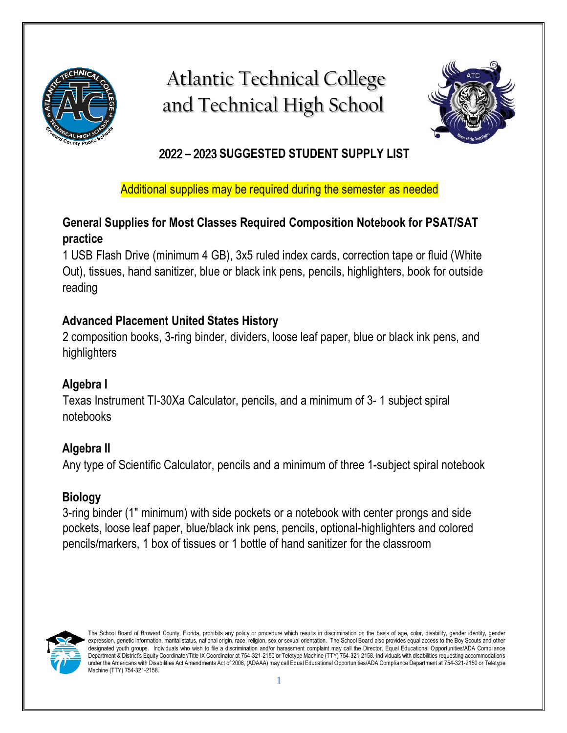

# Atlantic Technical College and Technical High School



# 2022 **–** 2023 **SUGGESTED STUDENT SUPPLY LIST**

Additional supplies may be required during the semester as needed

## **General Supplies for Most Classes Required Composition Notebook for PSAT/SAT practice**

1 USB Flash Drive (minimum 4 GB), 3x5 ruled index cards, correction tape or fluid (White Out), tissues, hand sanitizer, blue or black ink pens, pencils, highlighters, book for outside reading

## **Advanced Placement United States History**

2 composition books, 3-ring binder, dividers, loose leaf paper, blue or black ink pens, and highlighters

# **Algebra I**

Texas Instrument TI-30Xa Calculator, pencils, and a minimum of 3- 1 subject spiral notebooks

# **Algebra II**

Any type of Scientific Calculator, pencils and a minimum of three 1-subject spiral notebook

# **Biology**

3-ring binder (1" minimum) with side pockets or a notebook with center prongs and side pockets, loose leaf paper, blue/black ink pens, pencils, optional-highlighters and colored pencils/markers, 1 box of tissues or 1 bottle of hand sanitizer for the classroom



The School Board of Broward County, Florida, prohibits any policy or procedure which results in discrimination on the basis of age, color, disability, gender identity, gender expression, genetic information, marital status, national origin, race, religion, sex or sexual orientation. The School Board also provides equal access to the Boy Scouts and other designated youth groups. Individuals who wish to file a discrimination and/or harassment complaint may call the Director, Equal Educational Opportunities/ADA Compliance Department & District's Equity Coordinator/Title IX Coordinator at 754-321-2150 or Teletype Machine (TTY) 754-321-2158. Individuals with disabilities requesting accommodations under the Americans with Disabilities Act Amendments Act of 2008, (ADAAA) may call Equal Educational Opportunities/ADA Compliance Department at 754-321-2150 or Teletype Machine (TTY) 754-321-2158.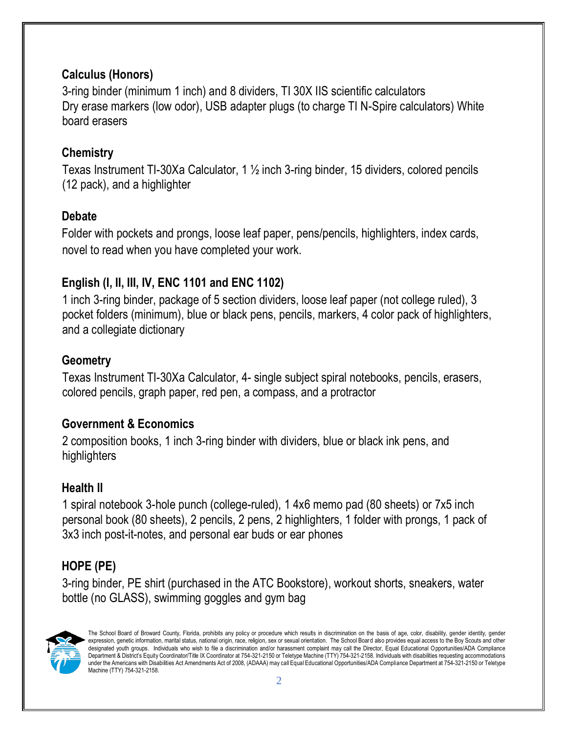### **Calculus (Honors)**

3-ring binder (minimum 1 inch) and 8 dividers, TI 30X IIS scientific calculators Dry erase markers (low odor), USB adapter plugs (to charge TI N-Spire calculators) White board erasers

#### **Chemistry**

Texas Instrument TI-30Xa Calculator, 1 ½ inch 3-ring binder, 15 dividers, colored pencils (12 pack), and a highlighter

### **Debate**

Folder with pockets and prongs, loose leaf paper, pens/pencils, highlighters, index cards, novel to read when you have completed your work.

## **English (I, II, III, IV, ENC 1101 and ENC 1102)**

1 inch 3-ring binder, package of 5 section dividers, loose leaf paper (not college ruled), 3 pocket folders (minimum), blue or black pens, pencils, markers, 4 color pack of highlighters, and a collegiate dictionary

#### **Geometry**

Texas Instrument TI-30Xa Calculator, 4- single subject spiral notebooks, pencils, erasers, colored pencils, graph paper, red pen, a compass, and a protractor

#### **Government & Economics**

2 composition books, 1 inch 3-ring binder with dividers, blue or black ink pens, and highlighters

#### **Health II**

1 spiral notebook 3-hole punch (college-ruled), 1 4x6 memo pad (80 sheets) or 7x5 inch personal book (80 sheets), 2 pencils, 2 pens, 2 highlighters, 1 folder with prongs, 1 pack of 3x3 inch post-it-notes, and personal ear buds or ear phones

# **HOPE (PE)**

3-ring binder, PE shirt (purchased in the ATC Bookstore), workout shorts, sneakers, water bottle (no GLASS), swimming goggles and gym bag



The School Board of Broward County, Florida, prohibits any policy or procedure which results in discrimination on the basis of age, color, disability, gender identity, gender expression, genetic information, marital status, national origin, race, religion, sex or sexual orientation. The School Board also provides equal access to the Boy Scouts and other designated youth groups. Individuals who wish to file a discrimination and/or harassment complaint may call the Director, Equal Educational Opportunities/ADA Compliance Department & District's Equity Coordinator/Title IX Coordinator at 754-321-2150 or Teletype Machine (TTY) 754-321-2158. Individuals with disabilities requesting accommodations under the Americans with Disabilities Act Amendments Act of 2008, (ADAAA) may call Equal Educational Opportunities/ADA Compliance Department at 754-321-2150 or Teletype Machine (TTY) 754-321-2158.